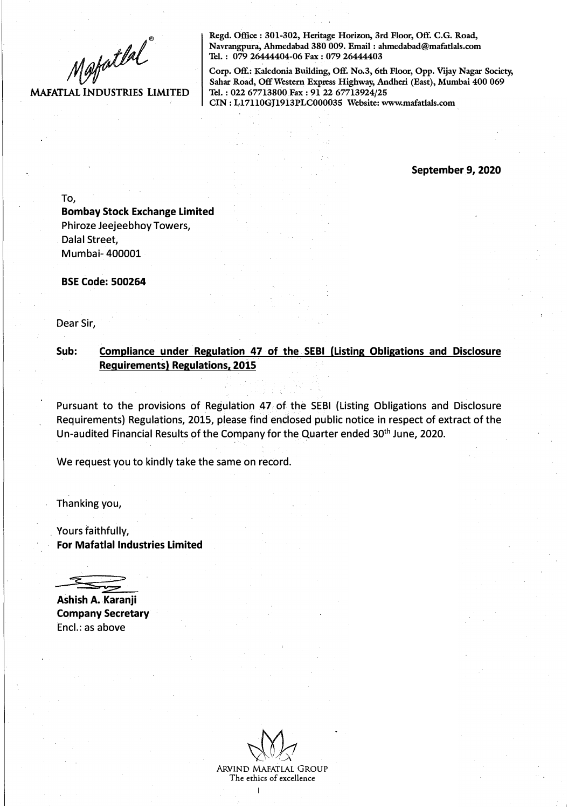Mapatlal

## **MAFATLAL INDUSTRIES LIMITED**

**Regd. Office : 301-302, Heritage Horizon, 3rd Floor, Off. C.G. Road, Navrangpura, Ahmedabad 380 009. Email : ahmedabad@mafatlals.com Tel. : 079 26444404-06 Fax : 079 26444403** 

**Corp. Off.: Kaledonia Building, Off. No.3, 6th Floor, Opp. Vijay Nagar Society, Sahar Road, Off Western Express Highway, Andheri (East), Mumbai 400 069 Tel. : 022 67713800.Fax : 91 22 67713924/25 CIN : L17110GJ1913PLC000035 Website: www.mafatlals.com** 

**September 9, 2020** 

To, **Bombay Stock Exchange Limited**  Phiroze Jeejeebhoy Towers, Dalal Street, Mumbai- 400001

**BSE Code: 500264** 

Dear Sir,

**Sub: Compliance under Regulation 47 of the SEBI {Listing Obligations and Disclosure Requirements) Regulations. 2015** 

Pursuant to the provisions of Regulation 47 of the SEBI (Listing Obligations and Disclosure Requirements) Regulations, 2015, please find enclosed public notice in respect of extract of the Un-audited Financial Results of the Company for the Quarter ended 30<sup>th</sup> June, 2020.

We request you to kindly take the same on record.

Thanking you,

. Yours faithfully, **For Mafatlal Industries Limited** 

**Ashish A. Karanji Company Secretary**  Encl.: as above

ARVIND MAFATLAL GROUP The ethics of excellence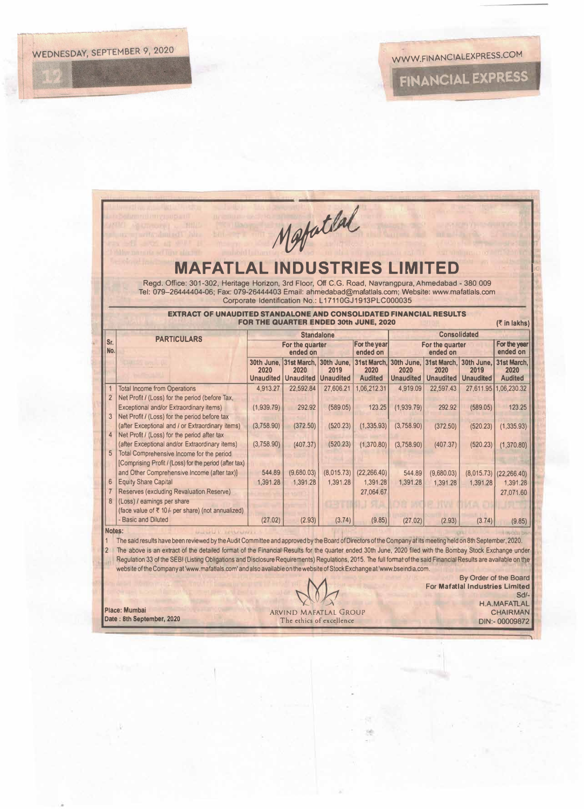|                                                                                                                                  | <b>MAFATLAL INDUSTRIES LIMITED</b><br>Regd. Office: 301-302, Heritage Horizon, 3rd Floor, Off C.G. Road, Navrangpura, Ahmedabad - 380 009<br>Tel: 079-26444404-06; Fax: 079-26444403 Email: ahmedabad@mafatlals.com; Website: www.mafatlals.com                                                                                                                                                                                                                                                                                                                                                                                                       |                             | Metatlal                                           |                                        |                                       |                          |                                                                |                                        |                                                                                            |  |  |
|----------------------------------------------------------------------------------------------------------------------------------|-------------------------------------------------------------------------------------------------------------------------------------------------------------------------------------------------------------------------------------------------------------------------------------------------------------------------------------------------------------------------------------------------------------------------------------------------------------------------------------------------------------------------------------------------------------------------------------------------------------------------------------------------------|-----------------------------|----------------------------------------------------|----------------------------------------|---------------------------------------|--------------------------|----------------------------------------------------------------|----------------------------------------|--------------------------------------------------------------------------------------------|--|--|
| Corporate Identification No.: L17110GJ1913PLC000035<br><b>EXTRACT OF UNAUDITED STANDALONE AND CONSOLIDATED FINANCIAL RESULTS</b> |                                                                                                                                                                                                                                                                                                                                                                                                                                                                                                                                                                                                                                                       |                             |                                                    |                                        |                                       |                          |                                                                |                                        |                                                                                            |  |  |
|                                                                                                                                  | FOR THE QUARTER ENDED 30th JUNE, 2020<br>$(5 \in \mathsf{In} \mathsf{lakhs})$<br><b>Consolidated</b><br><b>Standalone</b>                                                                                                                                                                                                                                                                                                                                                                                                                                                                                                                             |                             |                                                    |                                        |                                       |                          |                                                                |                                        |                                                                                            |  |  |
| Sr.<br>No.                                                                                                                       | <b>PARTICULARS</b>                                                                                                                                                                                                                                                                                                                                                                                                                                                                                                                                                                                                                                    | For the quarter<br>ended on |                                                    |                                        | For the year<br>ended on              |                          | For the quarter<br>ended on                                    |                                        |                                                                                            |  |  |
|                                                                                                                                  |                                                                                                                                                                                                                                                                                                                                                                                                                                                                                                                                                                                                                                                       | 2020<br><b>Unaudited</b>    | 30th June, 31st March.<br>2020<br><b>Unaudited</b> | 30th June,<br>2019<br><b>Unaudited</b> | 2020<br><b>Audited</b>                | 2020<br><b>Unaudited</b> | 31st March. 30th June. 31st March.<br>2020<br><b>Unaudited</b> | 30th June.<br>2019<br><b>Unaudited</b> | ended on<br>31st March.<br>2020<br><b>Audited</b>                                          |  |  |
| $\overline{1}$<br>$\overline{2}$<br>3                                                                                            | <b>Total Income from Operations</b><br>Net Profit / (Loss) for the period (before Tax,<br>Exceptional and/or Extraordinary items)<br>Net Profit / (Loss) for the period before tax                                                                                                                                                                                                                                                                                                                                                                                                                                                                    | 4,913.27<br>(1,939.79)      | 22.592.84<br>292.92                                | 27,606.21<br>(589.05)                  | 1,06,212.31<br>123.25                 | 4,919.09<br>(1,939.79)   | 22.597.43<br>292.92                                            | 27,611.95<br>(589.05)                  | 1,06,230.32<br>123.25                                                                      |  |  |
|                                                                                                                                  | (after Exceptional and / or Extraordinary items)<br>Net Profit / (Loss) for the period after tax<br>(after Exceptional and/or Extraordinary items)                                                                                                                                                                                                                                                                                                                                                                                                                                                                                                    | (3.758.90)<br>(3,758.90)    | (372.50)<br>(407.37)                               | (520.23)<br>(520.23)                   | (1, 335.93)<br>(1,370.80)             | (3,758.90)<br>(3,758.90) | (372.50)<br>(407.37)                                           | (520.23)<br>(520.23)                   | (1, 335.93)<br>(1,370.80)                                                                  |  |  |
| 6                                                                                                                                | Total Comprehensive Income for the period<br>[Comprising Profit / (Loss) for the period (after tax)<br>and Other Comprehensive Income (after tax)]<br><b>Equity Share Capital</b><br>Reserves (excluding Revaluation Reserve)                                                                                                                                                                                                                                                                                                                                                                                                                         | 544.89<br>1.391.28          | (9,680,03)<br>1.391.28                             | (8,015.73)<br>1.391.28                 | (22, 266.40)<br>1,391.28<br>27,064.67 | 544.89<br>1.391.28       | (9,680.03)<br>1,391.28                                         | (8,015.73)<br>1,391.28                 | (22, 266.40)<br>1.391.28<br>27.071.60                                                      |  |  |
| $\mathbf{8}$                                                                                                                     | (Loss) / earnings per share<br>(face value of ₹ 10/- per share) (not annualized)<br>- Basic and Diluted                                                                                                                                                                                                                                                                                                                                                                                                                                                                                                                                               | (27.02)                     | (2.93)                                             | (3.74)                                 | (9.85)                                | (27.02)                  | (2.93)                                                         | (3.74)                                 | (9.85)                                                                                     |  |  |
| Notes:<br>1<br>$\overline{2}$                                                                                                    | area are a 11 comparative<br>The said results have been reviewed by the Audit Committee and approved by the Board of Directors of the Company at its meeting held on 8th September, 2020.<br>The above is an extract of the detailed format of the Financial Results for the quarter ended 30th June, 2020 filed with the Bombay Stock Exchange under<br>Requlation 33 of the SEBI (Listing Obligations and Disclosure Requirements) Requlations, 2015. The full format of the said Financial Results are available on the<br>website of the Company at 'www.mafatlals.com' and also available on the website of Stock Exchange at 'www.bseindia.com. |                             |                                                    |                                        |                                       |                          |                                                                |                                        | By Order of the Board                                                                      |  |  |
|                                                                                                                                  | Place: Mumbai                                                                                                                                                                                                                                                                                                                                                                                                                                                                                                                                                                                                                                         |                             | ARVIND MAFATLAL GROUP                              |                                        |                                       |                          |                                                                |                                        | <b>For Mafatlal Industries Limited</b><br>$Sd/-$<br><b>H.A.MAFATLAL</b><br><b>CHAIRMAN</b> |  |  |

**Date : 8th September, 2020** 

The ethics of excellence

DIN:- 00009872